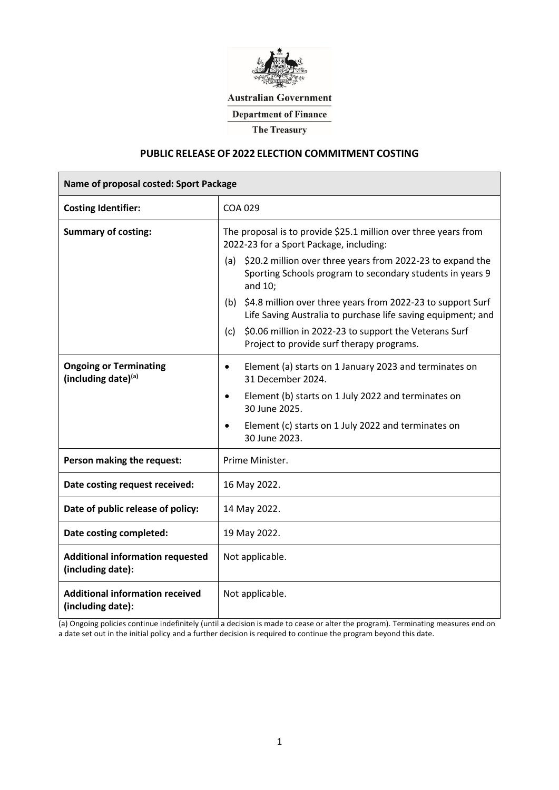

**Australian Government** 

**Department of Finance** 

**The Treasury** 

### **PUBLIC RELEASE OF 2022 ELECTION COMMITMENT COSTING**

| Name of proposal costed: Sport Package                       |                                                                                                                                                                              |  |  |  |  |
|--------------------------------------------------------------|------------------------------------------------------------------------------------------------------------------------------------------------------------------------------|--|--|--|--|
| <b>Costing Identifier:</b>                                   | <b>COA 029</b>                                                                                                                                                               |  |  |  |  |
| <b>Summary of costing:</b>                                   | The proposal is to provide \$25.1 million over three years from<br>2022-23 for a Sport Package, including:<br>(a) \$20.2 million over three years from 2022-23 to expand the |  |  |  |  |
|                                                              | Sporting Schools program to secondary students in years 9<br>and 10;                                                                                                         |  |  |  |  |
|                                                              | (b) \$4.8 million over three years from 2022-23 to support Surf<br>Life Saving Australia to purchase life saving equipment; and                                              |  |  |  |  |
|                                                              | \$0.06 million in 2022-23 to support the Veterans Surf<br>(c)<br>Project to provide surf therapy programs.                                                                   |  |  |  |  |
| <b>Ongoing or Terminating</b><br>(including date)(a)         | Element (a) starts on 1 January 2023 and terminates on<br>$\bullet$<br>31 December 2024.                                                                                     |  |  |  |  |
|                                                              | Element (b) starts on 1 July 2022 and terminates on<br>$\bullet$<br>30 June 2025.                                                                                            |  |  |  |  |
|                                                              | Element (c) starts on 1 July 2022 and terminates on<br>$\bullet$<br>30 June 2023.                                                                                            |  |  |  |  |
| Person making the request:                                   | Prime Minister.                                                                                                                                                              |  |  |  |  |
| Date costing request received:                               | 16 May 2022.                                                                                                                                                                 |  |  |  |  |
| Date of public release of policy:                            | 14 May 2022.                                                                                                                                                                 |  |  |  |  |
| Date costing completed:                                      | 19 May 2022.                                                                                                                                                                 |  |  |  |  |
| <b>Additional information requested</b><br>(including date): | Not applicable.                                                                                                                                                              |  |  |  |  |
| <b>Additional information received</b><br>(including date):  | Not applicable.                                                                                                                                                              |  |  |  |  |

(a) Ongoing policies continue indefinitely (until a decision is made to cease or alter the program). Terminating measures end on a date set out in the initial policy and a further decision is required to continue the program beyond this date.